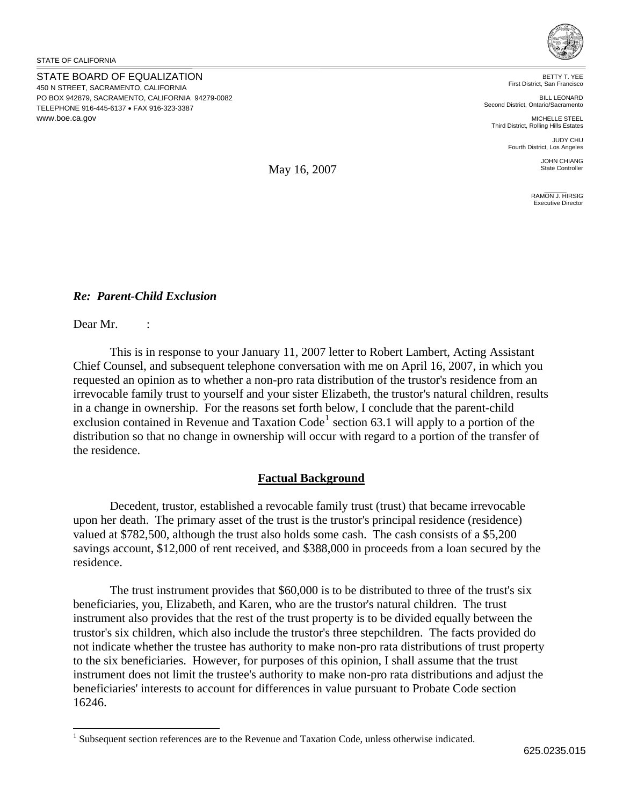STATE BOARD OF EQUALIZATION 450 N STREET, SACRAMENTO, CALIFORNIA PO BOX 942879, SACRAMENTO, CALIFORNIA 94279-0082 TELEPHONE 916-445-6137 • FAX 916-323-3387 www.boe.ca.gov



BETTY T. YEE First District, San Francisco

BILL LEONARD Second District, Ontario/Sacramento

MICHELLE STEEL Third District, Rolling Hills Estates

JUDY CHU Fourth District, Los Angeles

> JOHN CHIANG State Controller

RAMON J. HIRSIG Executive Director

May 16, 2007

## *Re: Parent-Child Exclusion*

Dear Mr. :

l

This is in response to your January 11, 2007 letter to Robert Lambert, Acting Assistant Chief Counsel, and subsequent telephone conversation with me on April 16, 2007, in which you requested an opinion as to whether a non-pro rata distribution of the trustor's residence from an irrevocable family trust to yourself and your sister Elizabeth, the trustor's natural children, results in a change in ownership. For the reasons set forth below, I conclude that the parent-child exclusion contained in Revenue and Taxation Code<sup>[1](#page-0-0)</sup> section 63.1 will apply to a portion of the distribution so that no change in ownership will occur with regard to a portion of the transfer of the residence.

## **Factual Background**

Decedent, trustor, established a revocable family trust (trust) that became irrevocable upon her death. The primary asset of the trust is the trustor's principal residence (residence) valued at \$782,500, although the trust also holds some cash. The cash consists of a \$5,200 savings account, \$12,000 of rent received, and \$388,000 in proceeds from a loan secured by the residence.

The trust instrument provides that \$60,000 is to be distributed to three of the trust's six beneficiaries, you, Elizabeth, and Karen, who are the trustor's natural children. The trust instrument also provides that the rest of the trust property is to be divided equally between the trustor's six children, which also include the trustor's three stepchildren. The facts provided do not indicate whether the trustee has authority to make non-pro rata distributions of trust property to the six beneficiaries. However, for purposes of this opinion, I shall assume that the trust instrument does not limit the trustee's authority to make non-pro rata distributions and adjust the beneficiaries' interests to account for differences in value pursuant to Probate Code section 16246.

<span id="page-0-0"></span><sup>&</sup>lt;sup>1</sup> Subsequent section references are to the Revenue and Taxation Code, unless otherwise indicated.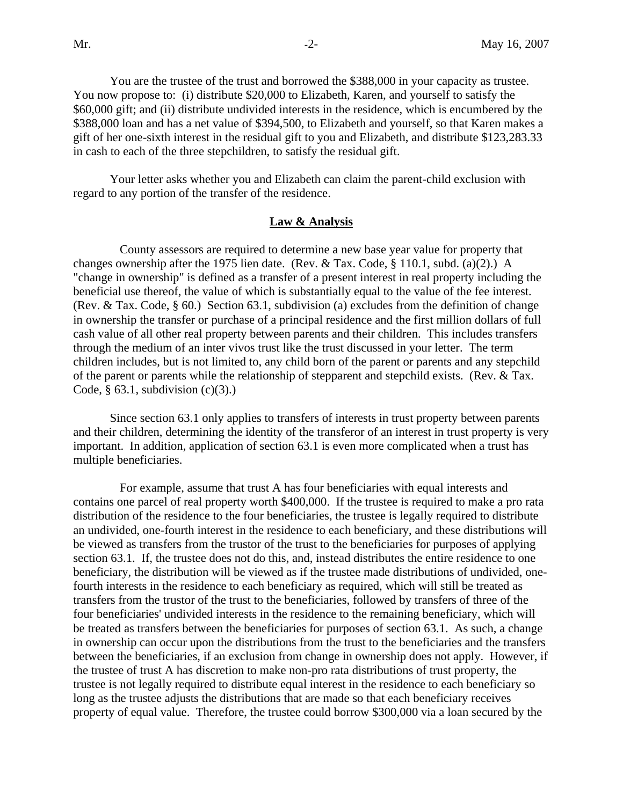You are the trustee of the trust and borrowed the \$388,000 in your capacity as trustee. You now propose to: (i) distribute \$20,000 to Elizabeth, Karen, and yourself to satisfy the \$60,000 gift; and (ii) distribute undivided interests in the residence, which is encumbered by the \$388,000 loan and has a net value of \$394,500, to Elizabeth and yourself, so that Karen makes a gift of her one-sixth interest in the residual gift to you and Elizabeth, and distribute \$123,283.33 in cash to each of the three stepchildren, to satisfy the residual gift.

Your letter asks whether you and Elizabeth can claim the parent-child exclusion with regard to any portion of the transfer of the residence.

## **Law & Analysis**

County assessors are required to determine a new base year value for property that changes ownership after the 1975 lien date. (Rev. & Tax. Code, § 110.1, subd. (a)(2).) A "change in ownership" is defined as a transfer of a present interest in real property including the beneficial use thereof, the value of which is substantially equal to the value of the fee interest. (Rev. & Tax. Code, § 60.) Section 63.1, subdivision (a) excludes from the definition of change in ownership the transfer or purchase of a principal residence and the first million dollars of full cash value of all other real property between parents and their children. This includes transfers through the medium of an inter vivos trust like the trust discussed in your letter. The term children includes, but is not limited to, any child born of the parent or parents and any stepchild of the parent or parents while the relationship of stepparent and stepchild exists. (Rev. & Tax. Code,  $\S$  63.1, subdivision (c)(3).)

Since section 63.1 only applies to transfers of interests in trust property between parents and their children, determining the identity of the transferor of an interest in trust property is very important. In addition, application of section 63.1 is even more complicated when a trust has multiple beneficiaries.

 For example, assume that trust A has four beneficiaries with equal interests and contains one parcel of real property worth \$400,000. If the trustee is required to make a pro rata distribution of the residence to the four beneficiaries, the trustee is legally required to distribute an undivided, one-fourth interest in the residence to each beneficiary, and these distributions will be viewed as transfers from the trustor of the trust to the beneficiaries for purposes of applying section 63.1. If, the trustee does not do this, and, instead distributes the entire residence to one beneficiary, the distribution will be viewed as if the trustee made distributions of undivided, onefourth interests in the residence to each beneficiary as required, which will still be treated as transfers from the trustor of the trust to the beneficiaries, followed by transfers of three of the four beneficiaries' undivided interests in the residence to the remaining beneficiary, which will be treated as transfers between the beneficiaries for purposes of section 63.1. As such, a change in ownership can occur upon the distributions from the trust to the beneficiaries and the transfers between the beneficiaries, if an exclusion from change in ownership does not apply. However, if the trustee of trust A has discretion to make non-pro rata distributions of trust property, the trustee is not legally required to distribute equal interest in the residence to each beneficiary so long as the trustee adjusts the distributions that are made so that each beneficiary receives property of equal value. Therefore, the trustee could borrow \$300,000 via a loan secured by the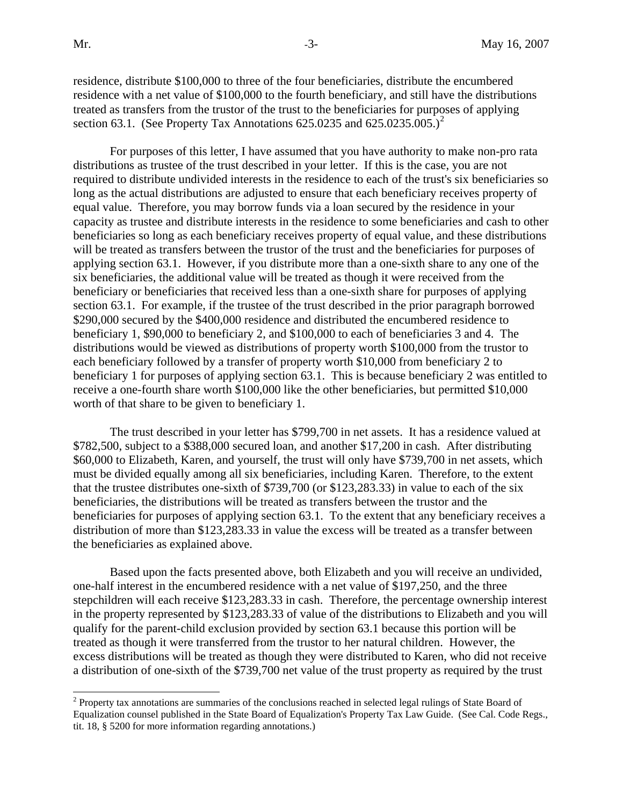residence, distribute \$100,000 to three of the four beneficiaries, distribute the encumbered residence with a net value of \$100,000 to the fourth beneficiary, and still have the distributions treated as transfers from the trustor of the trust to the beneficiaries for purposes of applying section 63.1. (See Property Tax Annotations 6[2](#page-2-0)5.0235 and 625.0235.005.)<sup>2</sup>

For purposes of this letter, I have assumed that you have authority to make non-pro rata distributions as trustee of the trust described in your letter. If this is the case, you are not required to distribute undivided interests in the residence to each of the trust's six beneficiaries so long as the actual distributions are adjusted to ensure that each beneficiary receives property of equal value. Therefore, you may borrow funds via a loan secured by the residence in your capacity as trustee and distribute interests in the residence to some beneficiaries and cash to other beneficiaries so long as each beneficiary receives property of equal value, and these distributions will be treated as transfers between the trustor of the trust and the beneficiaries for purposes of applying section 63.1. However, if you distribute more than a one-sixth share to any one of the six beneficiaries, the additional value will be treated as though it were received from the beneficiary or beneficiaries that received less than a one-sixth share for purposes of applying section 63.1. For example, if the trustee of the trust described in the prior paragraph borrowed \$290,000 secured by the \$400,000 residence and distributed the encumbered residence to beneficiary 1, \$90,000 to beneficiary 2, and \$100,000 to each of beneficiaries 3 and 4. The distributions would be viewed as distributions of property worth \$100,000 from the trustor to each beneficiary followed by a transfer of property worth \$10,000 from beneficiary 2 to beneficiary 1 for purposes of applying section 63.1. This is because beneficiary 2 was entitled to receive a one-fourth share worth \$100,000 like the other beneficiaries, but permitted \$10,000 worth of that share to be given to beneficiary 1.

The trust described in your letter has \$799,700 in net assets. It has a residence valued at \$782,500, subject to a \$388,000 secured loan, and another \$17,200 in cash. After distributing \$60,000 to Elizabeth, Karen, and yourself, the trust will only have \$739,700 in net assets, which must be divided equally among all six beneficiaries, including Karen. Therefore, to the extent that the trustee distributes one-sixth of \$739,700 (or \$123,283.33) in value to each of the six beneficiaries, the distributions will be treated as transfers between the trustor and the beneficiaries for purposes of applying section 63.1. To the extent that any beneficiary receives a distribution of more than \$123,283.33 in value the excess will be treated as a transfer between the beneficiaries as explained above.

Based upon the facts presented above, both Elizabeth and you will receive an undivided, one-half interest in the encumbered residence with a net value of \$197,250, and the three stepchildren will each receive \$123,283.33 in cash. Therefore, the percentage ownership interest in the property represented by \$123,283.33 of value of the distributions to Elizabeth and you will qualify for the parent-child exclusion provided by section 63.1 because this portion will be treated as though it were transferred from the trustor to her natural children. However, the excess distributions will be treated as though they were distributed to Karen, who did not receive a distribution of one-sixth of the \$739,700 net value of the trust property as required by the trust

<span id="page-2-0"></span><sup>&</sup>lt;sup>2</sup> Property tax annotations are summaries of the conclusions reached in selected legal rulings of State Board of Equalization counsel published in the State Board of Equalization's Property Tax Law Guide. (See Cal. Code Regs., tit. 18, § 5200 for more information regarding annotations.)